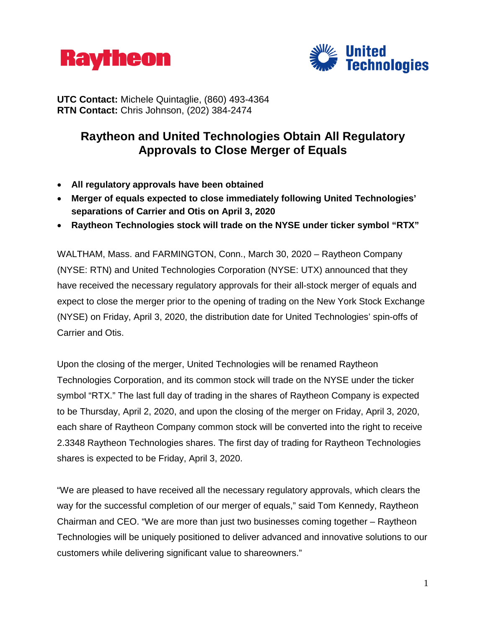



**UTC Contact:** Michele Quintaglie, (860) 493-4364 **RTN Contact:** Chris Johnson, (202) 384-2474

# **Raytheon and United Technologies Obtain All Regulatory Approvals to Close Merger of Equals**

- **All regulatory approvals have been obtained**
- **Merger of equals expected to close immediately following United Technologies' separations of Carrier and Otis on April 3, 2020**
- **Raytheon Technologies stock will trade on the NYSE under ticker symbol "RTX"**

WALTHAM, Mass. and FARMINGTON, Conn., March 30, 2020 – Raytheon Company (NYSE: RTN) and United Technologies Corporation (NYSE: UTX) announced that they have received the necessary regulatory approvals for their all-stock merger of equals and expect to close the merger prior to the opening of trading on the New York Stock Exchange (NYSE) on Friday, April 3, 2020, the distribution date for United Technologies' spin-offs of Carrier and Otis.

Upon the closing of the merger, United Technologies will be renamed Raytheon Technologies Corporation, and its common stock will trade on the NYSE under the ticker symbol "RTX." The last full day of trading in the shares of Raytheon Company is expected to be Thursday, April 2, 2020, and upon the closing of the merger on Friday, April 3, 2020, each share of Raytheon Company common stock will be converted into the right to receive 2.3348 Raytheon Technologies shares. The first day of trading for Raytheon Technologies shares is expected to be Friday, April 3, 2020.

"We are pleased to have received all the necessary regulatory approvals, which clears the way for the successful completion of our merger of equals," said Tom Kennedy, Raytheon Chairman and CEO. "We are more than just two businesses coming together – Raytheon Technologies will be uniquely positioned to deliver advanced and innovative solutions to our customers while delivering significant value to shareowners."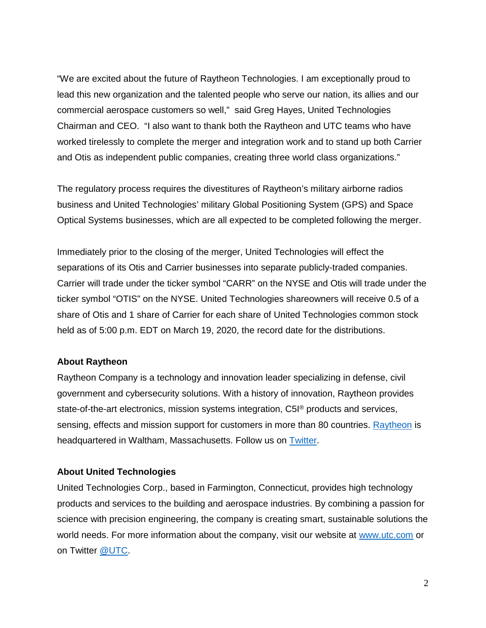"We are excited about the future of Raytheon Technologies. I am exceptionally proud to lead this new organization and the talented people who serve our nation, its allies and our commercial aerospace customers so well," said Greg Hayes, United Technologies Chairman and CEO. "I also want to thank both the Raytheon and UTC teams who have worked tirelessly to complete the merger and integration work and to stand up both Carrier and Otis as independent public companies, creating three world class organizations."

The regulatory process requires the divestitures of Raytheon's military airborne radios business and United Technologies' military Global Positioning System (GPS) and Space Optical Systems businesses, which are all expected to be completed following the merger.

Immediately prior to the closing of the merger, United Technologies will effect the separations of its Otis and Carrier businesses into separate publicly-traded companies. Carrier will trade under the ticker symbol "CARR" on the NYSE and Otis will trade under the ticker symbol "OTIS" on the NYSE. United Technologies shareowners will receive 0.5 of a share of Otis and 1 share of Carrier for each share of United Technologies common stock held as of 5:00 p.m. EDT on March 19, 2020, the record date for the distributions.

## **About Raytheon**

Raytheon Company is a technology and innovation leader specializing in defense, civil government and cybersecurity solutions. With a history of innovation, Raytheon provides state-of-the-art electronics, mission systems integration, C5I® products and services, sensing, effects and mission support for customers in more than 80 countries. [Raytheon](https://c212.net/c/link/?t=0&l=en&o=2472758-1&h=3167517542&u=https%3A%2F%2Fwww.raytheon.com%2F&a=Raytheon) is headquartered in Waltham, Massachusetts. Follow us on [Twitter.](https://c212.net/c/link/?t=0&l=en&o=2472758-1&h=167714059&u=https%3A%2F%2Ftwitter.com%2Fraytheon&a=Twitter)

#### **About United Technologies**

United Technologies Corp., based in Farmington, Connecticut, provides high technology products and services to the building and aerospace industries. By combining a passion for science with precision engineering, the company is creating smart, sustainable solutions the world needs. For more information about the company, visit our website at [www.utc.com](https://www.utc.com/) or on Twitter [@UTC.](https://twitter.com/utc?lang=en)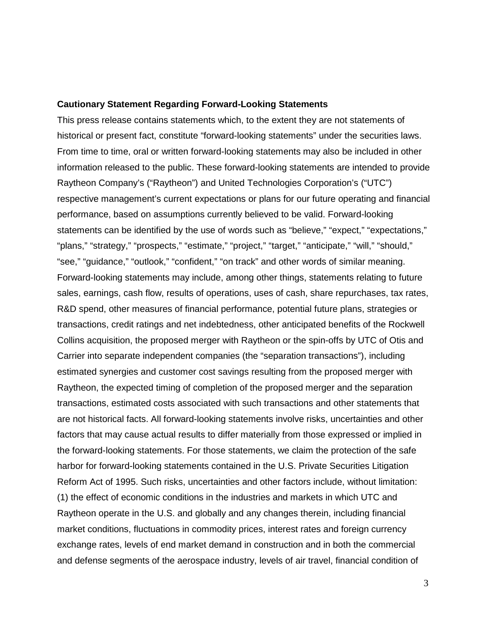#### **Cautionary Statement Regarding Forward-Looking Statements**

This press release contains statements which, to the extent they are not statements of historical or present fact, constitute "forward-looking statements" under the securities laws. From time to time, oral or written forward-looking statements may also be included in other information released to the public. These forward-looking statements are intended to provide Raytheon Company's ("Raytheon") and United Technologies Corporation's ("UTC") respective management's current expectations or plans for our future operating and financial performance, based on assumptions currently believed to be valid. Forward-looking statements can be identified by the use of words such as "believe," "expect," "expectations," "plans," "strategy," "prospects," "estimate," "project," "target," "anticipate," "will," "should," "see," "guidance," "outlook," "confident," "on track" and other words of similar meaning. Forward-looking statements may include, among other things, statements relating to future sales, earnings, cash flow, results of operations, uses of cash, share repurchases, tax rates, R&D spend, other measures of financial performance, potential future plans, strategies or transactions, credit ratings and net indebtedness, other anticipated benefits of the Rockwell Collins acquisition, the proposed merger with Raytheon or the spin-offs by UTC of Otis and Carrier into separate independent companies (the "separation transactions"), including estimated synergies and customer cost savings resulting from the proposed merger with Raytheon, the expected timing of completion of the proposed merger and the separation transactions, estimated costs associated with such transactions and other statements that are not historical facts. All forward-looking statements involve risks, uncertainties and other factors that may cause actual results to differ materially from those expressed or implied in the forward-looking statements. For those statements, we claim the protection of the safe harbor for forward-looking statements contained in the U.S. Private Securities Litigation Reform Act of 1995. Such risks, uncertainties and other factors include, without limitation: (1) the effect of economic conditions in the industries and markets in which UTC and Raytheon operate in the U.S. and globally and any changes therein, including financial market conditions, fluctuations in commodity prices, interest rates and foreign currency exchange rates, levels of end market demand in construction and in both the commercial and defense segments of the aerospace industry, levels of air travel, financial condition of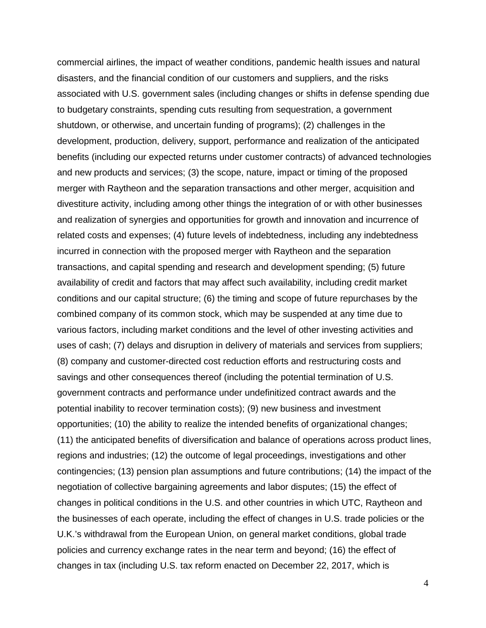commercial airlines, the impact of weather conditions, pandemic health issues and natural disasters, and the financial condition of our customers and suppliers, and the risks associated with U.S. government sales (including changes or shifts in defense spending due to budgetary constraints, spending cuts resulting from sequestration, a government shutdown, or otherwise, and uncertain funding of programs); (2) challenges in the development, production, delivery, support, performance and realization of the anticipated benefits (including our expected returns under customer contracts) of advanced technologies and new products and services; (3) the scope, nature, impact or timing of the proposed merger with Raytheon and the separation transactions and other merger, acquisition and divestiture activity, including among other things the integration of or with other businesses and realization of synergies and opportunities for growth and innovation and incurrence of related costs and expenses; (4) future levels of indebtedness, including any indebtedness incurred in connection with the proposed merger with Raytheon and the separation transactions, and capital spending and research and development spending; (5) future availability of credit and factors that may affect such availability, including credit market conditions and our capital structure; (6) the timing and scope of future repurchases by the combined company of its common stock, which may be suspended at any time due to various factors, including market conditions and the level of other investing activities and uses of cash; (7) delays and disruption in delivery of materials and services from suppliers; (8) company and customer-directed cost reduction efforts and restructuring costs and savings and other consequences thereof (including the potential termination of U.S. government contracts and performance under undefinitized contract awards and the potential inability to recover termination costs); (9) new business and investment opportunities; (10) the ability to realize the intended benefits of organizational changes; (11) the anticipated benefits of diversification and balance of operations across product lines, regions and industries; (12) the outcome of legal proceedings, investigations and other contingencies; (13) pension plan assumptions and future contributions; (14) the impact of the negotiation of collective bargaining agreements and labor disputes; (15) the effect of changes in political conditions in the U.S. and other countries in which UTC, Raytheon and the businesses of each operate, including the effect of changes in U.S. trade policies or the U.K.'s withdrawal from the European Union, on general market conditions, global trade policies and currency exchange rates in the near term and beyond; (16) the effect of changes in tax (including U.S. tax reform enacted on December 22, 2017, which is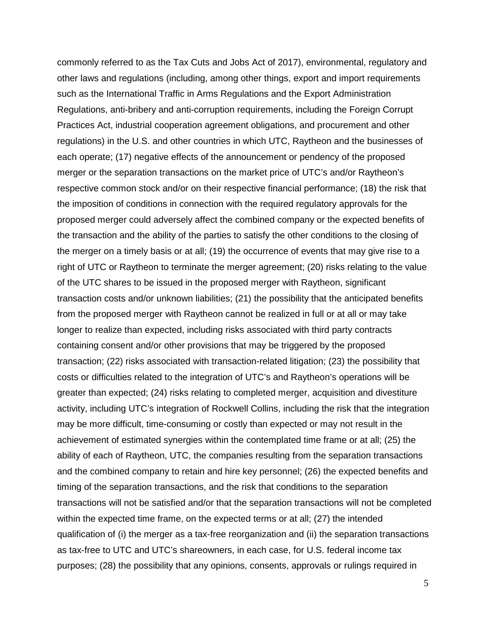commonly referred to as the Tax Cuts and Jobs Act of 2017), environmental, regulatory and other laws and regulations (including, among other things, export and import requirements such as the International Traffic in Arms Regulations and the Export Administration Regulations, anti-bribery and anti-corruption requirements, including the Foreign Corrupt Practices Act, industrial cooperation agreement obligations, and procurement and other regulations) in the U.S. and other countries in which UTC, Raytheon and the businesses of each operate; (17) negative effects of the announcement or pendency of the proposed merger or the separation transactions on the market price of UTC's and/or Raytheon's respective common stock and/or on their respective financial performance; (18) the risk that the imposition of conditions in connection with the required regulatory approvals for the proposed merger could adversely affect the combined company or the expected benefits of the transaction and the ability of the parties to satisfy the other conditions to the closing of the merger on a timely basis or at all; (19) the occurrence of events that may give rise to a right of UTC or Raytheon to terminate the merger agreement; (20) risks relating to the value of the UTC shares to be issued in the proposed merger with Raytheon, significant transaction costs and/or unknown liabilities; (21) the possibility that the anticipated benefits from the proposed merger with Raytheon cannot be realized in full or at all or may take longer to realize than expected, including risks associated with third party contracts containing consent and/or other provisions that may be triggered by the proposed transaction; (22) risks associated with transaction-related litigation; (23) the possibility that costs or difficulties related to the integration of UTC's and Raytheon's operations will be greater than expected; (24) risks relating to completed merger, acquisition and divestiture activity, including UTC's integration of Rockwell Collins, including the risk that the integration may be more difficult, time-consuming or costly than expected or may not result in the achievement of estimated synergies within the contemplated time frame or at all; (25) the ability of each of Raytheon, UTC, the companies resulting from the separation transactions and the combined company to retain and hire key personnel; (26) the expected benefits and timing of the separation transactions, and the risk that conditions to the separation transactions will not be satisfied and/or that the separation transactions will not be completed within the expected time frame, on the expected terms or at all; (27) the intended qualification of (i) the merger as a tax-free reorganization and (ii) the separation transactions as tax-free to UTC and UTC's shareowners, in each case, for U.S. federal income tax purposes; (28) the possibility that any opinions, consents, approvals or rulings required in

5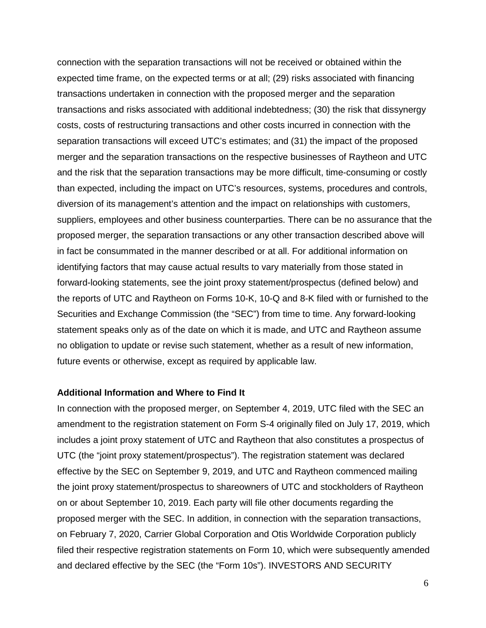connection with the separation transactions will not be received or obtained within the expected time frame, on the expected terms or at all; (29) risks associated with financing transactions undertaken in connection with the proposed merger and the separation transactions and risks associated with additional indebtedness; (30) the risk that dissynergy costs, costs of restructuring transactions and other costs incurred in connection with the separation transactions will exceed UTC's estimates; and (31) the impact of the proposed merger and the separation transactions on the respective businesses of Raytheon and UTC and the risk that the separation transactions may be more difficult, time-consuming or costly than expected, including the impact on UTC's resources, systems, procedures and controls, diversion of its management's attention and the impact on relationships with customers, suppliers, employees and other business counterparties. There can be no assurance that the proposed merger, the separation transactions or any other transaction described above will in fact be consummated in the manner described or at all. For additional information on identifying factors that may cause actual results to vary materially from those stated in forward-looking statements, see the joint proxy statement/prospectus (defined below) and the reports of UTC and Raytheon on Forms 10-K, 10-Q and 8-K filed with or furnished to the Securities and Exchange Commission (the "SEC") from time to time. Any forward-looking statement speaks only as of the date on which it is made, and UTC and Raytheon assume no obligation to update or revise such statement, whether as a result of new information, future events or otherwise, except as required by applicable law.

### **Additional Information and Where to Find It**

In connection with the proposed merger, on September 4, 2019, UTC filed with the SEC an amendment to the registration statement on Form S-4 originally filed on July 17, 2019, which includes a joint proxy statement of UTC and Raytheon that also constitutes a prospectus of UTC (the "joint proxy statement/prospectus"). The registration statement was declared effective by the SEC on September 9, 2019, and UTC and Raytheon commenced mailing the joint proxy statement/prospectus to shareowners of UTC and stockholders of Raytheon on or about September 10, 2019. Each party will file other documents regarding the proposed merger with the SEC. In addition, in connection with the separation transactions, on February 7, 2020, Carrier Global Corporation and Otis Worldwide Corporation publicly filed their respective registration statements on Form 10, which were subsequently amended and declared effective by the SEC (the "Form 10s"). INVESTORS AND SECURITY